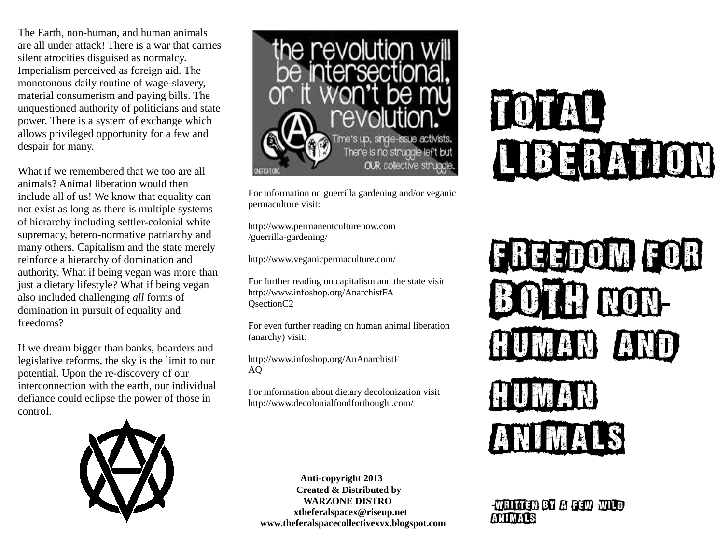The Earth, non-human, and human animals are all under attack! There is a war that carries silent atrocities disguised as normalcy. Imperialism perceived as foreign aid. The monotonous daily routine of wage-slavery, material consumerism and paying bills. The unquestioned authority of politicians and state power. There is a system of exchange which allows privileged opportunity for a few and despair for many.

What if we remembered that we too are all animals? Animal liberation would then include all of us! We know that equality can not exist as long as there is multiple systems of hierarchy including settler-colonial white supremacy, hetero-normative patriarchy and many others. Capitalism and the state merely reinforce a hierarchy of domination and authority. What if being vegan was more than just a dietary lifestyle? What if being vegan also included challenging *all* forms of domination in pursuit of equality and freedoms?

If we dream bigger than banks, boarders and legislative reforms, the sky is the limit to our potential. Upon the re-discovery of our interconnection with the earth, our individual defiance could eclipse the power of those in control.



For information on guerrilla gardening and/or veganic permaculture visit:

http://www.permanentculturenow.com /guerrilla-gardening/

<http://www.veganicpermaculture.com/>

For further reading on capitalism and the state visit http://www.infoshop.org/AnarchistFA QsectionC2

For even further reading on human animal liberation (anarchy) visit:

http://www.infoshop.org/AnAnarchistF AQ

For information about dietary decolonization visit http://www.decolonialfoodforthought.com/



 **Anti-copyright 2013 Created & Distributed by WARZONE DISTRO xtheferalspacex@riseup.net www.theferalspacecollectivexvx.blogspot.com**

# TOTAL LIBERATION



-Written by a few wild animals